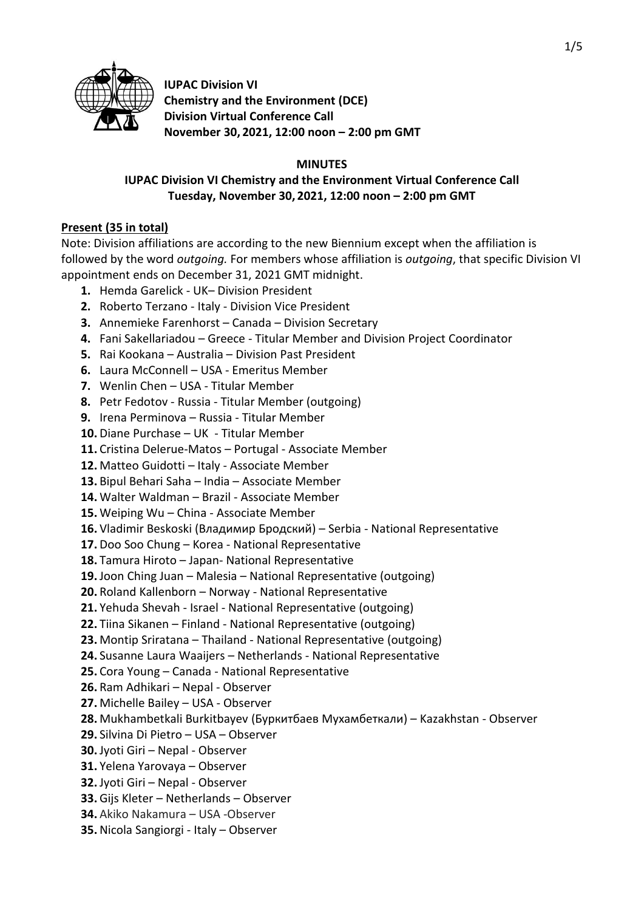

**IUPAC Division VI Chemistry and the Environment (DCE) Division Virtual Conference Call November 30, 2021, 12:00 noon – 2:00 pm GMT**

#### **MINUTES**

# **IUPAC Division VI Chemistry and the Environment Virtual Conference Call Tuesday, November 30, 2021, 12:00 noon – 2:00 pm GMT**

## **Present (35 in total)**

Note: Division affiliations are according to the new Biennium except when the affiliation is followed by the word *outgoing.* For members whose affiliation is *outgoing*, that specific Division VI appointment ends on December 31, 2021 GMT midnight.

- **1.** Hemda Garelick UK– Division President
- **2.** Roberto Terzano Italy Division Vice President
- **3.** Annemieke Farenhorst Canada Division Secretary
- **4.** Fani Sakellariadou Greece Titular Member and Division Project Coordinator
- **5.** Rai Kookana Australia Division Past President
- **6.** Laura McConnell USA Emeritus Member
- **7.** Wenlin Chen USA Titular Member
- **8.** Petr Fedotov Russia Titular Member (outgoing)
- **9.** Irena Perminova Russia Titular Member
- **10.** Diane Purchase UK Titular Member
- **11.** Cristina Delerue-Matos Portugal Associate Member
- **12.** Matteo Guidotti Italy Associate Member
- **13.** Bipul Behari Saha India Associate Member
- **14.** Walter Waldman Brazil Associate Member
- **15.** Weiping Wu China Associate Member
- **16.** Vladimir Beskoski (Владимир Бродский) Serbia National Representative
- **17.** Doo Soo Chung Korea National Representative
- **18.** Tamura Hiroto Japan- National Representative
- **19.** Joon Ching Juan Malesia National Representative (outgoing)
- **20.** Roland Kallenborn Norway National Representative
- **21.** Yehuda Shevah Israel National Representative (outgoing)
- **22.** Tiina Sikanen Finland National Representative (outgoing)
- **23.** Montip Sriratana Thailand National Representative (outgoing)
- **24.** Susanne Laura Waaijers Netherlands National Representative
- **25.** Cora Young Canada National Representative
- **26.** Ram Adhikari Nepal Observer
- **27.** Michelle Bailey USA Observer
- **28.** Mukhambetkali Burkitbayev (Буркитбаев Мухамбеткали) Kazakhstan Observer
- **29.** Silvina Di Pietro USA Observer
- **30.** Jyoti Giri Nepal Observer
- **31.** Yelena Yarovaya Observer
- **32.** Jyoti Giri Nepal Observer
- **33.** Gijs Kleter Netherlands Observer
- **34.** Akiko Nakamura USA -Observer
- **35.** Nicola Sangiorgi Italy Observer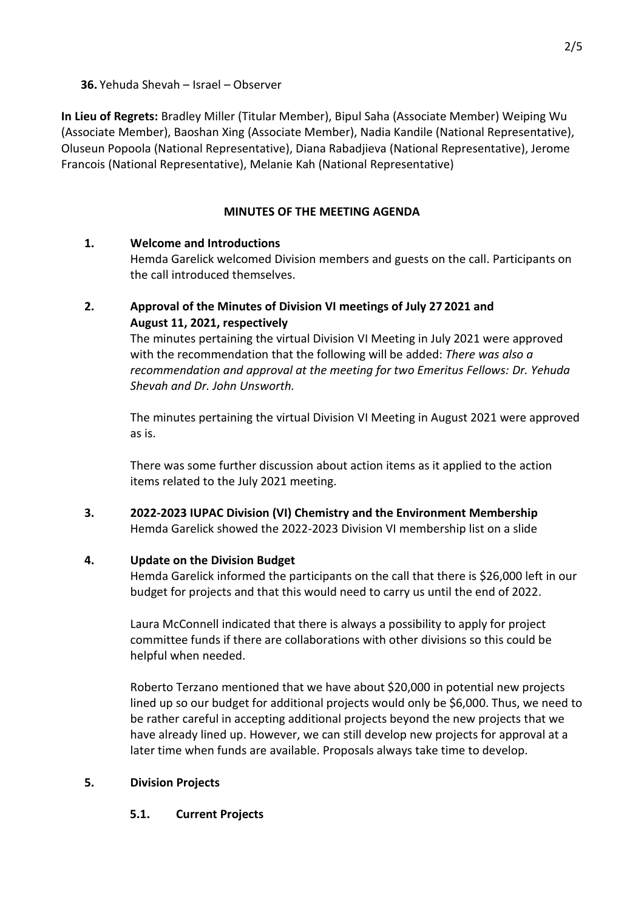**36.** Yehuda Shevah – Israel – Observer

**In Lieu of Regrets:** Bradley Miller (Titular Member), Bipul Saha (Associate Member) Weiping Wu (Associate Member), Baoshan Xing (Associate Member), Nadia Kandile (National Representative), Oluseun Popoola (National Representative), Diana Rabadjieva (National Representative), Jerome Francois (National Representative), Melanie Kah (National Representative)

## **MINUTES OF THE MEETING AGENDA**

# **1. Welcome and Introductions**

Hemda Garelick welcomed Division members and guests on the call. Participants on the call introduced themselves.

## **2. Approval of the Minutes of Division VI meetings of July 27 2021 and August 11, 2021, respectively**

The minutes pertaining the virtual Division VI Meeting in July 2021 were approved with the recommendation that the following will be added: *There was also a recommendation and approval at the meeting for two Emeritus Fellows: Dr. Yehuda Shevah and Dr. John Unsworth.*

The minutes pertaining the virtual Division VI Meeting in August 2021 were approved as is.

There was some further discussion about action items as it applied to the action items related to the July 2021 meeting.

**3. 2022-2023 IUPAC Division (VI) Chemistry and the Environment Membership** Hemda Garelick showed the 2022-2023 Division VI membership list on a slide

## **4. Update on the Division Budget**

Hemda Garelick informed the participants on the call that there is \$26,000 left in our budget for projects and that this would need to carry us until the end of 2022.

Laura McConnell indicated that there is always a possibility to apply for project committee funds if there are collaborations with other divisions so this could be helpful when needed.

Roberto Terzano mentioned that we have about \$20,000 in potential new projects lined up so our budget for additional projects would only be \$6,000. Thus, we need to be rather careful in accepting additional projects beyond the new projects that we have already lined up. However, we can still develop new projects for approval at a later time when funds are available. Proposals always take time to develop.

# **5. Division Projects**

# **5.1. Current Projects**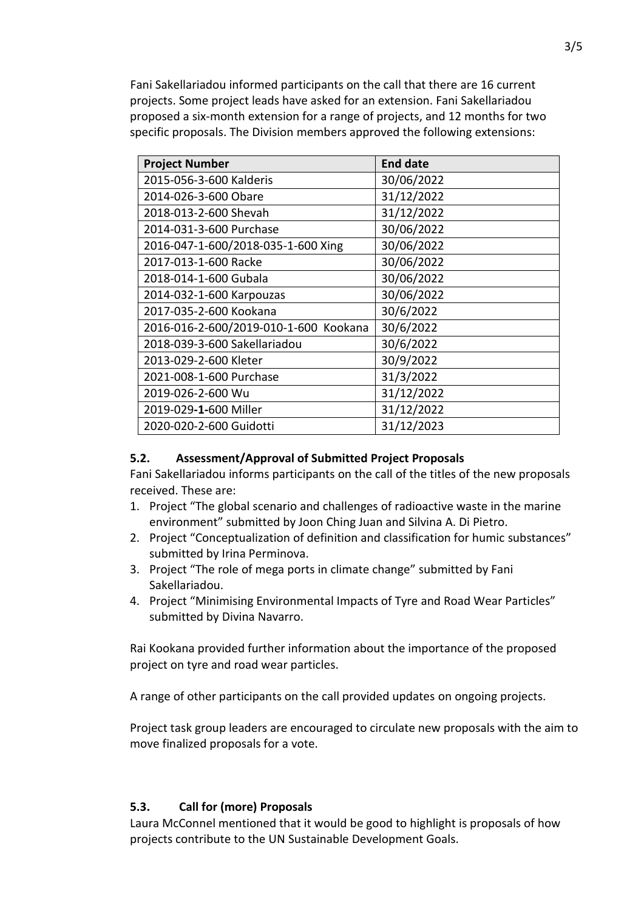Fani Sakellariadou informed participants on the call that there are 16 current projects. Some project leads have asked for an extension. Fani Sakellariadou proposed a six-month extension for a range of projects, and 12 months for two specific proposals. The Division members approved the following extensions:

| <b>Project Number</b>                 | <b>End date</b> |
|---------------------------------------|-----------------|
| 2015-056-3-600 Kalderis               | 30/06/2022      |
| 2014-026-3-600 Obare                  | 31/12/2022      |
| 2018-013-2-600 Shevah                 | 31/12/2022      |
| 2014-031-3-600 Purchase               | 30/06/2022      |
| 2016-047-1-600/2018-035-1-600 Xing    | 30/06/2022      |
| 2017-013-1-600 Racke                  | 30/06/2022      |
| 2018-014-1-600 Gubala                 | 30/06/2022      |
| 2014-032-1-600 Karpouzas              | 30/06/2022      |
| 2017-035-2-600 Kookana                | 30/6/2022       |
| 2016-016-2-600/2019-010-1-600 Kookana | 30/6/2022       |
| 2018-039-3-600 Sakellariadou          | 30/6/2022       |
| 2013-029-2-600 Kleter                 | 30/9/2022       |
| 2021-008-1-600 Purchase               | 31/3/2022       |
| 2019-026-2-600 Wu                     | 31/12/2022      |
| 2019-029-1-600 Miller                 | 31/12/2022      |
| 2020-020-2-600 Guidotti               | 31/12/2023      |

#### **5.2. Assessment/Approval of Submitted Project Proposals**

Fani Sakellariadou informs participants on the call of the titles of the new proposals received. These are:

- 1. Project "The global scenario and challenges of radioactive waste in the marine environment" submitted by Joon Ching Juan and Silvina A. Di Pietro.
- 2. Project "Conceptualization of definition and classification for humic substances" submitted by Irina Perminova.
- 3. Project "The role of mega ports in climate change" submitted by Fani Sakellariadou.
- 4. Project "Minimising Environmental Impacts of Tyre and Road Wear Particles" submitted by Divina Navarro.

Rai Kookana provided further information about the importance of the proposed project on tyre and road wear particles.

A range of other participants on the call provided updates on ongoing projects.

Project task group leaders are encouraged to circulate new proposals with the aim to move finalized proposals for a vote.

## **5.3. Call for (more) Proposals**

Laura McConnel mentioned that it would be good to highlight is proposals of how projects contribute to the UN Sustainable Development Goals.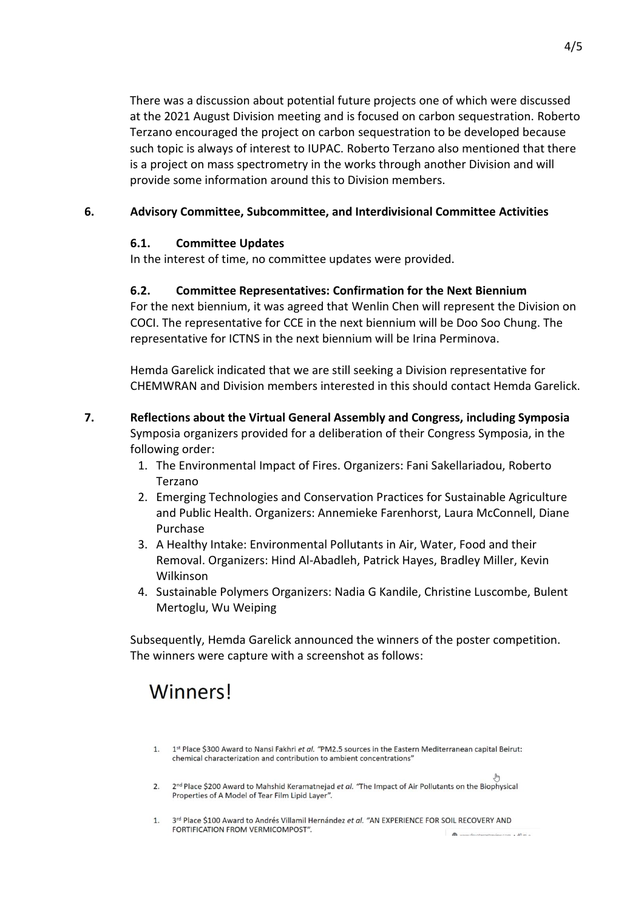There was a discussion about potential future projects one of which were discussed at the 2021 August Division meeting and is focused on carbon sequestration. Roberto Terzano encouraged the project on carbon sequestration to be developed because such topic is always of interest to IUPAC. Roberto Terzano also mentioned that there is a project on mass spectrometry in the works through another Division and will provide some information around this to Division members.

## **6. Advisory Committee, Subcommittee, and Interdivisional Committee Activities**

## **6.1. Committee Updates**

In the interest of time, no committee updates were provided.

## **6.2. Committee Representatives: Confirmation for the Next Biennium**

For the next biennium, it was agreed that Wenlin Chen will represent the Division on COCI. The representative for CCE in the next biennium will be Doo Soo Chung. The representative for ICTNS in the next biennium will be Irina Perminova.

Hemda Garelick indicated that we are still seeking a Division representative for CHEMWRAN and Division members interested in this should contact Hemda Garelick.

- **7. Reflections about the Virtual General Assembly and Congress, including Symposia**  Symposia organizers provided for a deliberation of their Congress Symposia, in the following order:
	- 1. The Environmental Impact of Fires. Organizers: Fani Sakellariadou, Roberto Terzano
	- 2. Emerging Technologies and Conservation Practices for Sustainable Agriculture and Public Health. Organizers: Annemieke Farenhorst, Laura McConnell, Diane Purchase
	- 3. A Healthy Intake: Environmental Pollutants in Air, Water, Food and their Removal. Organizers: Hind Al-Abadleh, Patrick Hayes, Bradley Miller, Kevin Wilkinson
	- 4. Sustainable Polymers Organizers: Nadia G Kandile, Christine Luscombe, Bulent Mertoglu, Wu Weiping

Subsequently, Hemda Garelick announced the winners of the poster competition. The winners were capture with a screenshot as follows:

# **Winners!**

- 1. 1st Place \$300 Award to Nansi Fakhri et al. "PM2.5 sources in the Eastern Mediterranean capital Beirut: chemical characterization and contribution to ambient concentrations"
- 2. 2<sup>nd</sup> Place \$200 Award to Mahshid Keramatnejad et al. "The Impact of Air Pollutants on the Biophysical Properties of A Model of Tear Film Lipid Layer".
- 1. 3rd Place \$100 Award to Andrés Villamil Hernández et al. "AN EXPERIENCE FOR SOIL RECOVERY AND FORTIFICATION FROM VERMICOMPOST".  $\blacksquare$  www.doughandraviau.com  $\cdot$  40 m  $\cdot$